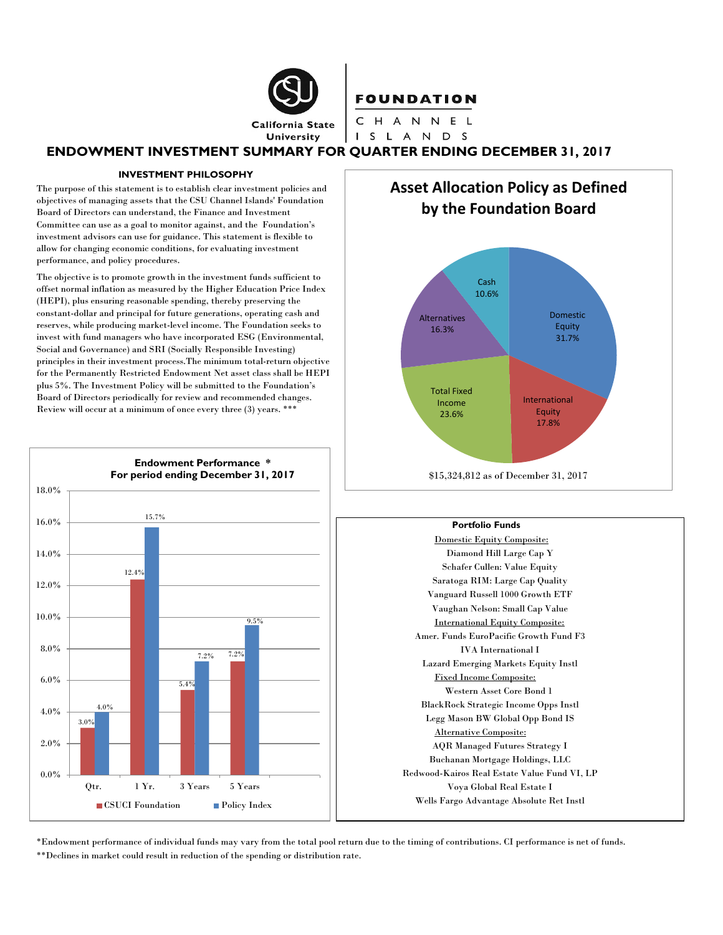**California State University** 

## **FOUNDATION**

CHANNEL I S L A N D S

## **ENDOWMENT INVESTMENT SUMMARY FOR QUARTER ENDING DECEMBER 31, 2017**

#### **INVESTMENT PHILOSOPHY**

The purpose of this statement is to establish clear investment policies and objectives of managing assets that the CSU Channel Islands' Foundation Board of Directors can understand, the Finance and Investment Committee can use as a goal to monitor against, and the Foundation's investment advisors can use for guidance. This statement is flexible to allow for changing economic conditions, for evaluating investment performance, and policy procedures.

The objective is to promote growth in the investment funds sufficient to offset normal inflation as measured by the Higher Education Price Index (HEPI), plus ensuring reasonable spending, thereby preserving the constant-dollar and principal for future generations, operating cash and reserves, while producing market-level income. The Foundation seeks to invest with fund managers who have incorporated ESG (Environmental, Social and Governance) and SRI (Socially Responsible Investing) principles in their investment process.The minimum total-return objective for the Permanently Restricted Endowment Net asset class shall be HEPI plus 5%. The Investment Policy will be submitted to the Foundation's Board of Directors periodically for review and recommended changes. Review will occur at a minimum of once every three (3) years. \*\*\*



**Asset Allocation Policy as Defined by the Foundation Board**



#### **Portfolio Funds**

Domestic Equity Composite: Diamond Hill Large Cap Y Schafer Cullen: Value Equity Saratoga RIM: Large Cap Quality Vanguard Russell 1000 Growth ETF Vaughan Nelson: Small Cap Value International Equity Composite: Amer. Funds EuroPacific Growth Fund F3 IVA International I Lazard Emerging Markets Equity Instl Fixed Income Composite: Western Asset Core Bond 1 BlackRock Strategic Income Opps Instl Legg Mason BW Global Opp Bond IS Alternative Composite: AQR Managed Futures Strategy I Buchanan Mortgage Holdings, LLC Redwood-Kairos Real Estate Value Fund VI, LP Voya Global Real Estate I Wells Fargo Advantage Absolute Ret Instl

\*Endowment performance of individual funds may vary from the total pool return due to the timing of contributions. CI performance is net of funds. \*\*Declines in market could result in reduction of the spending or distribution rate.